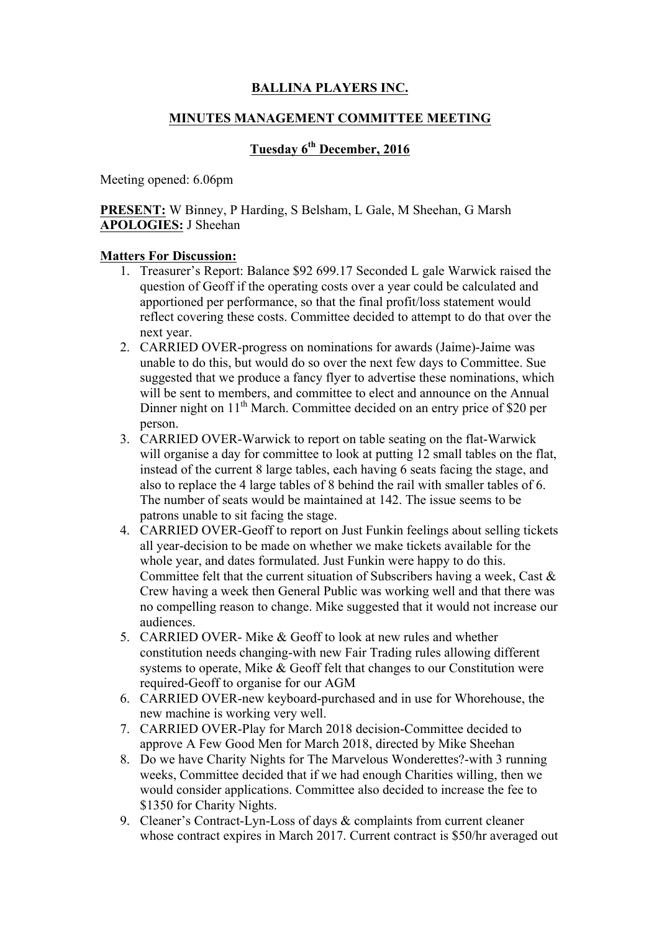## **BALLINA PLAYERS INC.**

### **MINUTES MANAGEMENT COMMITTEE MEETING**

# **Tuesday 6th December, 2016**

Meeting opened: 6.06pm

**PRESENT:** W Binney, P Harding, S Belsham, L Gale, M Sheehan, G Marsh **APOLOGIES:** J Sheehan

### **Matters For Discussion:**

- 1. Treasurer's Report: Balance \$92 699.17 Seconded L gale Warwick raised the question of Geoff if the operating costs over a year could be calculated and apportioned per performance, so that the final profit/loss statement would reflect covering these costs. Committee decided to attempt to do that over the next year.
- 2. CARRIED OVER-progress on nominations for awards (Jaime)-Jaime was unable to do this, but would do so over the next few days to Committee. Sue suggested that we produce a fancy flyer to advertise these nominations, which will be sent to members, and committee to elect and announce on the Annual Dinner night on 11<sup>th</sup> March. Committee decided on an entry price of \$20 per person.
- 3. CARRIED OVER-Warwick to report on table seating on the flat-Warwick will organise a day for committee to look at putting 12 small tables on the flat, instead of the current 8 large tables, each having 6 seats facing the stage, and also to replace the 4 large tables of 8 behind the rail with smaller tables of 6. The number of seats would be maintained at 142. The issue seems to be patrons unable to sit facing the stage.
- 4. CARRIED OVER-Geoff to report on Just Funkin feelings about selling tickets all year-decision to be made on whether we make tickets available for the whole year, and dates formulated. Just Funkin were happy to do this. Committee felt that the current situation of Subscribers having a week, Cast & Crew having a week then General Public was working well and that there was no compelling reason to change. Mike suggested that it would not increase our audiences.
- 5. CARRIED OVER- Mike & Geoff to look at new rules and whether constitution needs changing-with new Fair Trading rules allowing different systems to operate, Mike & Geoff felt that changes to our Constitution were required-Geoff to organise for our AGM
- 6. CARRIED OVER-new keyboard-purchased and in use for Whorehouse, the new machine is working very well.
- 7. CARRIED OVER-Play for March 2018 decision-Committee decided to approve A Few Good Men for March 2018, directed by Mike Sheehan
- 8. Do we have Charity Nights for The Marvelous Wonderettes?-with 3 running weeks, Committee decided that if we had enough Charities willing, then we would consider applications. Committee also decided to increase the fee to \$1350 for Charity Nights.
- 9. Cleaner's Contract-Lyn-Loss of days & complaints from current cleaner whose contract expires in March 2017. Current contract is \$50/hr averaged out